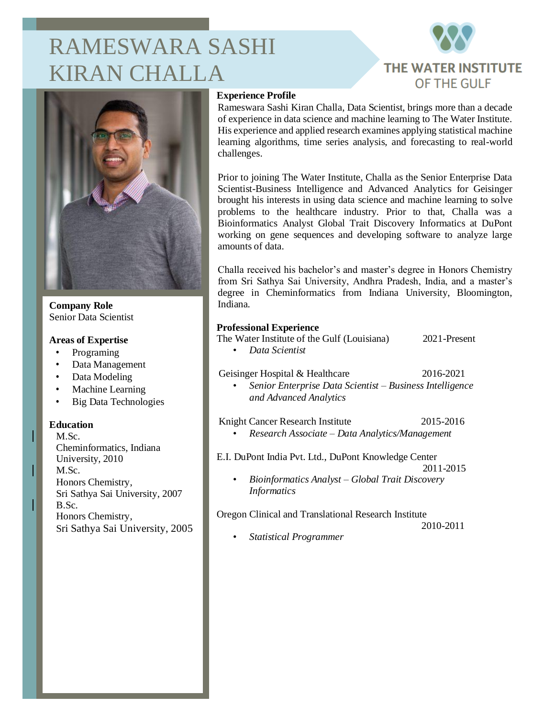# RAMESWARA SASHI KIRAN CHALLA





**Company Role** Senior Data Scientist

#### **Areas of Expertise**

- Programing
- Data Management
- Data Modeling
- Machine Learning
- Big Data Technologies

#### **Education**

M.Sc. Cheminformatics, Indiana University, 2010 M.Sc. Honors Chemistry, Sri Sathya Sai University, 2007 B.Sc. Honors Chemistry, Sri Sathya Sai University, 2005

# **Experience Profile**

Rameswara Sashi Kiran Challa, Data Scientist, brings more than a decade of experience in data science and machine learning to The Water Institute. His experience and applied research examines applying statistical machine learning algorithms, time series analysis, and forecasting to real-world challenges.

Prior to joining The Water Institute, Challa as the Senior Enterprise Data Scientist-Business Intelligence and Advanced Analytics for Geisinger brought his interests in using data science and machine learning to solve problems to the healthcare industry. Prior to that, Challa was a Bioinformatics Analyst Global Trait Discovery Informatics at DuPont working on gene sequences and developing software to analyze large amounts of data.

Challa received his bachelor's and master's degree in Honors Chemistry from Sri Sathya Sai University, Andhra Pradesh, India, and a master's degree in Cheminformatics from Indiana University, Bloomington, Indiana.

# **Professional Experience**

The Water Institute of the Gulf (Louisiana) 2021-Present

• *Data Scientist*

# Geisinger Hospital & Healthcare 2016-2021

• *Senior Enterprise Data Scientist – Business Intelligence and Advanced Analytics*

Knight Cancer Research Institute 2015-2016

• *Research Associate – Data Analytics/Management*

E.I. DuPont India Pvt. Ltd., DuPont Knowledge Center

- 2011-2015
- *Bioinformatics Analyst – Global Trait Discovery Informatics*

#### Oregon Clinical and Translational Research Institute

2010-2011

• *Statistical Programmer*